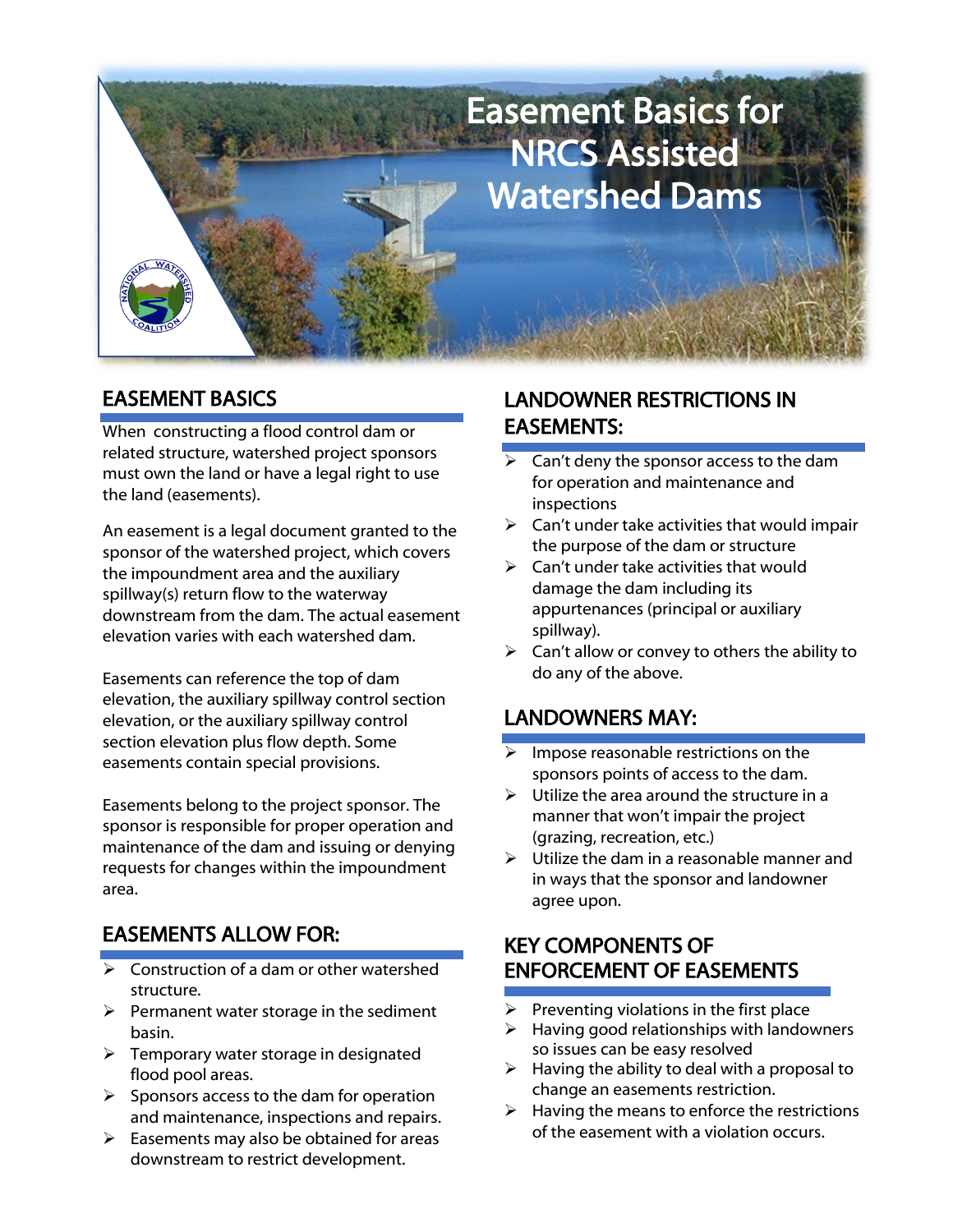

### EASEMENT BASICS

When constructing a flood control dam or related structure, watershed project sponsors must own the land or have a legal right to use the land (easements).

An easement is a legal document granted to the sponsor of the watershed project, which covers the impoundment area and the auxiliary spillway(s) return flow to the waterway downstream from the dam. The actual easement elevation varies with each watershed dam.

Easements can reference the top of dam elevation, the auxiliary spillway control section elevation, or the auxiliary spillway control section elevation plus flow depth. Some easements contain special provisions.

Easements belong to the project sponsor. The sponsor is responsible for proper operation and maintenance of the dam and issuing or denying requests for changes within the impoundment area.

# EASEMENTS ALLOW FOR:

- $\triangleright$  Construction of a dam or other watershed structure.
- $\triangleright$  Permanent water storage in the sediment basin.
- $\triangleright$  Temporary water storage in designated flood pool areas.
- $\triangleright$  Sponsors access to the dam for operation and maintenance, inspections and repairs.
- $\triangleright$  Easements may also be obtained for areas downstream to restrict development.

#### LANDOWNER RESTRICTIONS IN EASEMENTS:

- $\triangleright$  Can't deny the sponsor access to the dam for operation and maintenance and inspections
- $\triangleright$  Can't under take activities that would impair the purpose of the dam or structure
- $\triangleright$  Can't under take activities that would damage the dam including its appurtenances (principal or auxiliary spillway).
- $\triangleright$  Can't allow or convey to others the ability to do any of the above.

# LANDOWNERS MAY:

- ➢ Impose reasonable restrictions on the sponsors points of access to the dam.
- $\triangleright$  Utilize the area around the structure in a manner that won't impair the project (grazing, recreation, etc.)
- $\triangleright$  Utilize the dam in a reasonable manner and in ways that the sponsor and landowner agree upon.

### KEY COMPONENTS OF ENFORCEMENT OF EASEMENTS

- ➢ Preventing violations in the first place
- ➢ Having good relationships with landowners so issues can be easy resolved
- $\triangleright$  Having the ability to deal with a proposal to change an easements restriction.
- $\triangleright$  Having the means to enforce the restrictions of the easement with a violation occurs.